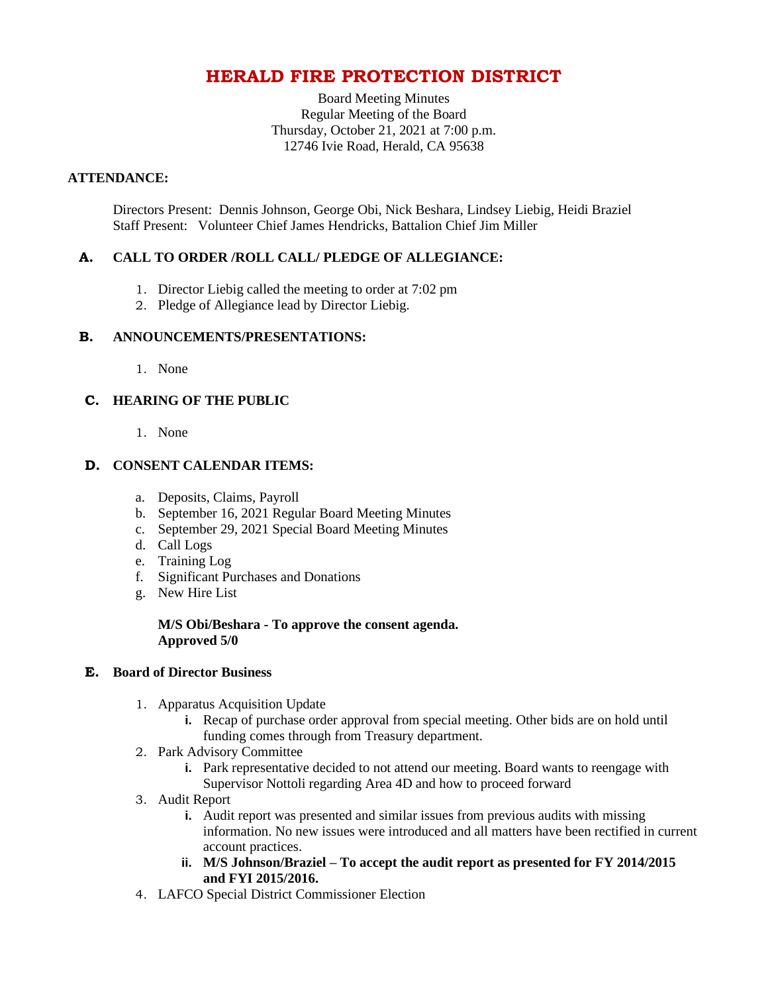# **HERALD FIRE PROTECTION DISTRICT**

Board Meeting Minutes Regular Meeting of the Board Thursday, October 21, 2021 at 7:00 p.m. 12746 Ivie Road, Herald, CA 95638

## **ATTENDANCE:**

Directors Present: Dennis Johnson, George Obi, Nick Beshara, Lindsey Liebig, Heidi Braziel Staff Present: Volunteer Chief James Hendricks, Battalion Chief Jim Miller

# **A. CALL TO ORDER /ROLL CALL/ PLEDGE OF ALLEGIANCE:**

- 1. Director Liebig called the meeting to order at 7:02 pm
- 2. Pledge of Allegiance lead by Director Liebig.

## **B. ANNOUNCEMENTS/PRESENTATIONS:**

1. None

# **C. HEARING OF THE PUBLIC**

1. None

# **D. CONSENT CALENDAR ITEMS:**

- a. Deposits, Claims, Payroll
- b. September 16, 2021 Regular Board Meeting Minutes
- c. September 29, 2021 Special Board Meeting Minutes
- d. Call Logs
- e. Training Log
- f. Significant Purchases and Donations
- g. New Hire List

## **M/S Obi/Beshara - To approve the consent agenda. Approved 5/0**

## **E. Board of Director Business**

- 1. Apparatus Acquisition Update
	- **i.** Recap of purchase order approval from special meeting. Other bids are on hold until funding comes through from Treasury department.
- 2. Park Advisory Committee
	- **i.** Park representative decided to not attend our meeting. Board wants to reengage with Supervisor Nottoli regarding Area 4D and how to proceed forward
- 3. Audit Report
	- **i.** Audit report was presented and similar issues from previous audits with missing information. No new issues were introduced and all matters have been rectified in current account practices.
	- **ii. M/S Johnson/Braziel – To accept the audit report as presented for FY 2014/2015 and FYI 2015/2016.**
- 4. LAFCO Special District Commissioner Election